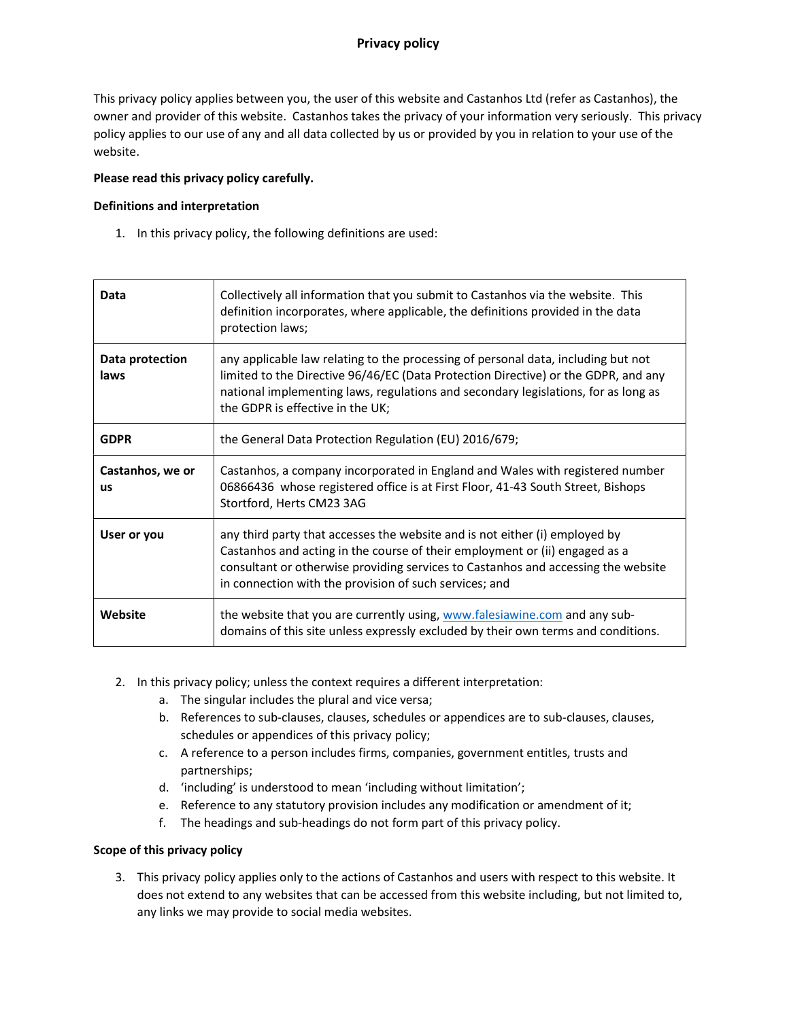# Privacy policy

This privacy policy applies between you, the user of this website and Castanhos Ltd (refer as Castanhos), the owner and provider of this website. Castanhos takes the privacy of your information very seriously. This privacy policy applies to our use of any and all data collected by us or provided by you in relation to your use of the website.

### Please read this privacy policy carefully.

### Definitions and interpretation

1. In this privacy policy, the following definitions are used:

| Data                          | Collectively all information that you submit to Castanhos via the website. This<br>definition incorporates, where applicable, the definitions provided in the data<br>protection laws;                                                                                                                    |
|-------------------------------|-----------------------------------------------------------------------------------------------------------------------------------------------------------------------------------------------------------------------------------------------------------------------------------------------------------|
| Data protection<br>laws       | any applicable law relating to the processing of personal data, including but not<br>limited to the Directive 96/46/EC (Data Protection Directive) or the GDPR, and any<br>national implementing laws, regulations and secondary legislations, for as long as<br>the GDPR is effective in the UK;         |
| <b>GDPR</b>                   | the General Data Protection Regulation (EU) 2016/679;                                                                                                                                                                                                                                                     |
| Castanhos, we or<br><b>us</b> | Castanhos, a company incorporated in England and Wales with registered number<br>06866436 whose registered office is at First Floor, 41-43 South Street, Bishops<br>Stortford, Herts CM23 3AG                                                                                                             |
| User or you                   | any third party that accesses the website and is not either (i) employed by<br>Castanhos and acting in the course of their employment or (ii) engaged as a<br>consultant or otherwise providing services to Castanhos and accessing the website<br>in connection with the provision of such services; and |
| Website                       | the website that you are currently using, www.falesiawine.com and any sub-<br>domains of this site unless expressly excluded by their own terms and conditions.                                                                                                                                           |

- 2. In this privacy policy; unless the context requires a different interpretation:
	- a. The singular includes the plural and vice versa;
	- b. References to sub-clauses, clauses, schedules or appendices are to sub-clauses, clauses, schedules or appendices of this privacy policy;
	- c. A reference to a person includes firms, companies, government entitles, trusts and partnerships;
	- d. 'including' is understood to mean 'including without limitation';
	- e. Reference to any statutory provision includes any modification or amendment of it;
	- f. The headings and sub-headings do not form part of this privacy policy.

#### Scope of this privacy policy

3. This privacy policy applies only to the actions of Castanhos and users with respect to this website. It does not extend to any websites that can be accessed from this website including, but not limited to, any links we may provide to social media websites.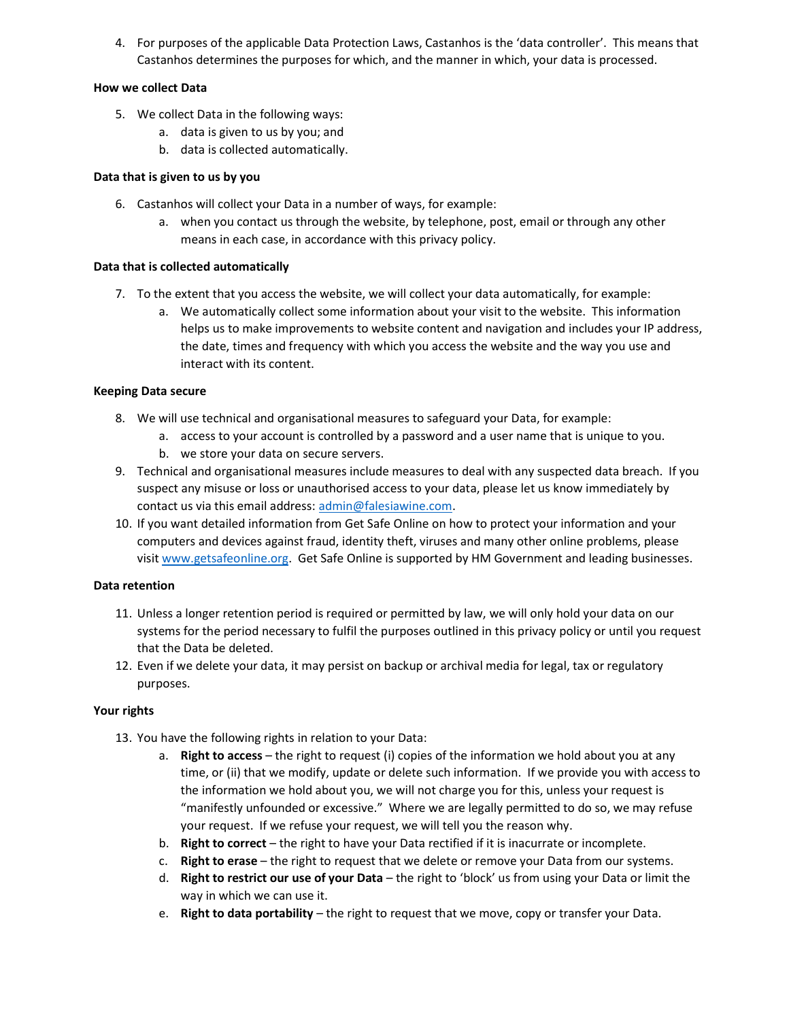4. For purposes of the applicable Data Protection Laws, Castanhos is the 'data controller'. This means that Castanhos determines the purposes for which, and the manner in which, your data is processed.

### How we collect Data

- 5. We collect Data in the following ways:
	- a. data is given to us by you; and
	- b. data is collected automatically.

### Data that is given to us by you

- 6. Castanhos will collect your Data in a number of ways, for example:
	- a. when you contact us through the website, by telephone, post, email or through any other means in each case, in accordance with this privacy policy.

### Data that is collected automatically

- 7. To the extent that you access the website, we will collect your data automatically, for example:
	- a. We automatically collect some information about your visit to the website. This information helps us to make improvements to website content and navigation and includes your IP address, the date, times and frequency with which you access the website and the way you use and interact with its content.

### Keeping Data secure

- 8. We will use technical and organisational measures to safeguard your Data, for example:
	- a. access to your account is controlled by a password and a user name that is unique to you.
	- b. we store your data on secure servers.
- 9. Technical and organisational measures include measures to deal with any suspected data breach. If you suspect any misuse or loss or unauthorised access to your data, please let us know immediately by contact us via this email address: admin@falesiawine.com.
- 10. If you want detailed information from Get Safe Online on how to protect your information and your computers and devices against fraud, identity theft, viruses and many other online problems, please visit www.getsafeonline.org. Get Safe Online is supported by HM Government and leading businesses.

#### Data retention

- 11. Unless a longer retention period is required or permitted by law, we will only hold your data on our systems for the period necessary to fulfil the purposes outlined in this privacy policy or until you request that the Data be deleted.
- 12. Even if we delete your data, it may persist on backup or archival media for legal, tax or regulatory purposes.

## Your rights

- 13. You have the following rights in relation to your Data:
	- a. Right to access the right to request (i) copies of the information we hold about you at any time, or (ii) that we modify, update or delete such information. If we provide you with access to the information we hold about you, we will not charge you for this, unless your request is "manifestly unfounded or excessive." Where we are legally permitted to do so, we may refuse your request. If we refuse your request, we will tell you the reason why.
	- b. Right to correct the right to have your Data rectified if it is inacurrate or incomplete.
	- c. Right to erase  $-$  the right to request that we delete or remove your Data from our systems.
	- d. Right to restrict our use of your Data the right to 'block' us from using your Data or limit the way in which we can use it.
	- e. Right to data portability the right to request that we move, copy or transfer your Data.